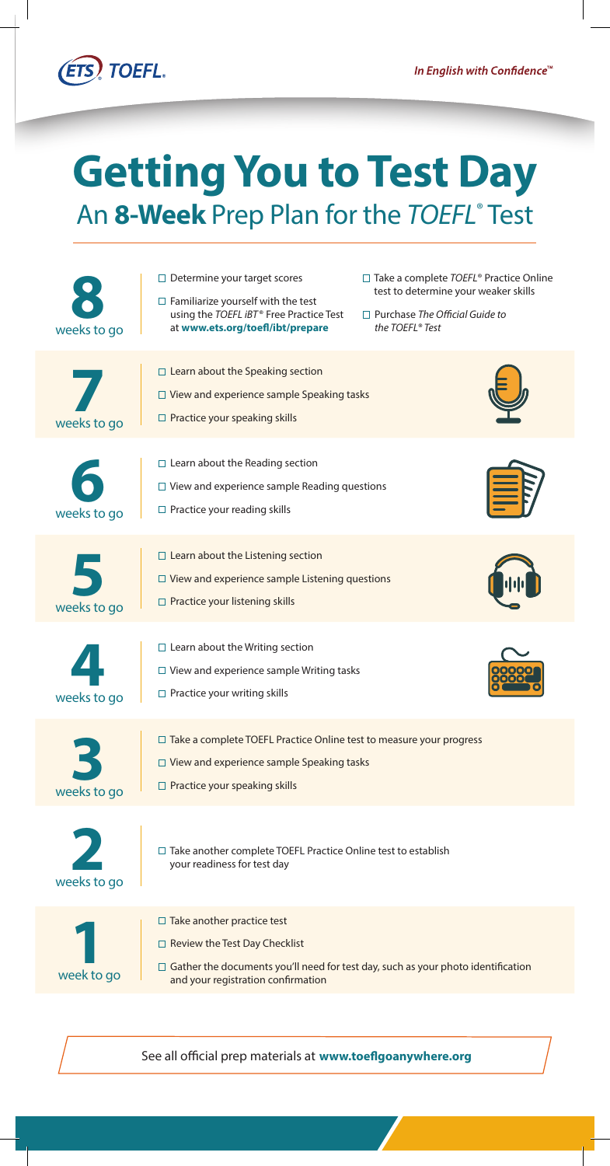

## **Getting You to Test Day** An 8-Week Prep Plan for the TOEFL<sup>®</sup> Test

|             | $\Box$ Determine your target scores<br>$\Box$ Familiarize yourself with the test<br>using the TOEFL iBT® Free Practice Test                                                                                | $\Box$ Take a complete TOEFL® Practice Online<br>test to determine your weaker skills<br>$\Box$ Purchase The Official Guide to |
|-------------|------------------------------------------------------------------------------------------------------------------------------------------------------------------------------------------------------------|--------------------------------------------------------------------------------------------------------------------------------|
| weeks to go | at www.ets.org/toefl/ibt/prepare                                                                                                                                                                           | the TOEFL® Test                                                                                                                |
|             | $\Box$ Learn about the Speaking section<br>$\Box$ View and experience sample Speaking tasks                                                                                                                |                                                                                                                                |
| weeks to go | $\Box$ Practice your speaking skills                                                                                                                                                                       |                                                                                                                                |
| weeks to go | $\Box$ Learn about the Reading section<br>$\Box$ View and experience sample Reading questions<br>$\Box$ Practice your reading skills                                                                       |                                                                                                                                |
| weeks to go | $\Box$ Learn about the Listening section<br>$\Box$ View and experience sample Listening questions<br>$\Box$ Practice your listening skills                                                                 |                                                                                                                                |
| weeks to go | $\Box$ Learn about the Writing section<br>$\Box$ View and experience sample Writing tasks<br>$\Box$ Practice your writing skills                                                                           |                                                                                                                                |
| weeks to go | $\Box$ Take a complete TOEFL Practice Online test to measure your progress<br>$\Box$ View and experience sample Speaking tasks<br>$\Box$ Practice your speaking skills                                     |                                                                                                                                |
| weeks to go | □ Take another complete TOEFL Practice Online test to establish<br>your readiness for test day                                                                                                             |                                                                                                                                |
| week to go  | $\Box$ Take another practice test<br>$\Box$ Review the Test Day Checklist<br>$\Box$ Gather the documents you'll need for test day, such as your photo identification<br>and your registration confirmation |                                                                                                                                |
|             |                                                                                                                                                                                                            |                                                                                                                                |

See all official prep materials at **[www.toeflgoanywhere.org](https://www.toeflgoanywhere.org)**